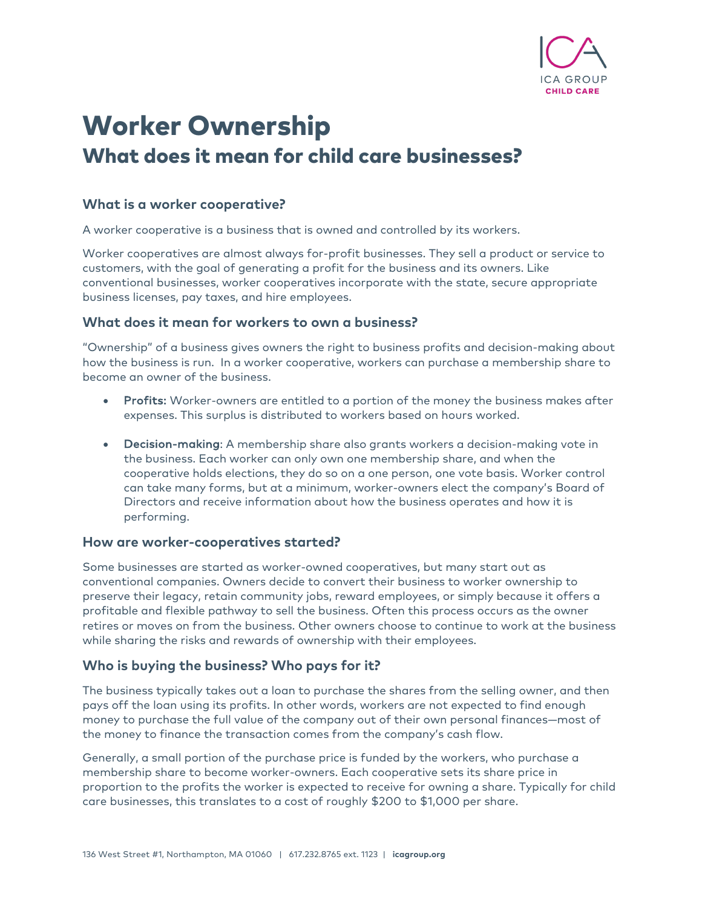

# Worker Ownership What does it mean for child care businesses?

## **What is a worker cooperative?**

A worker cooperative is a business that is owned and controlled by its workers.

Worker cooperatives are almost always for-profit businesses. They sell a product or service to customers, with the goal of generating a profit for the business and its owners. Like conventional businesses, worker cooperatives incorporate with the state, secure appropriate business licenses, pay taxes, and hire employees.

## **What does it mean for workers to own a business?**

"Ownership" of a business gives owners the right to business profits and decision-making about how the business is run. In a worker cooperative, workers can purchase a membership share to become an owner of the business.

- Profits: Worker-owners are entitled to a portion of the money the business makes after expenses. This surplus is distributed to workers based on hours worked.
- Decision-making: A membership share also grants workers a decision-making vote in the business. Each worker can only own one membership share, and when the cooperative holds elections, they do so on a one person, one vote basis. Worker control can take many forms, but at a minimum, worker-owners elect the company's Board of Directors and receive information about how the business operates and how it is performing.

#### **How are worker-cooperatives started?**

Some businesses are started as worker-owned cooperatives, but many start out as conventional companies. Owners decide to convert their business to worker ownership to preserve their legacy, retain community jobs, reward employees, or simply because it offers a profitable and flexible pathway to sell the business. Often this process occurs as the owner retires or moves on from the business. Other owners choose to continue to work at the business while sharing the risks and rewards of ownership with their employees.

## **Who is buying the business? Who pays for it?**

The business typically takes out a loan to purchase the shares from the selling owner, and then pays off the loan using its profits. In other words, workers are not expected to find enough money to purchase the full value of the company out of their own personal finances—most of the money to finance the transaction comes from the company's cash flow.

Generally, a small portion of the purchase price is funded by the workers, who purchase a membership share to become worker-owners. Each cooperative sets its share price in proportion to the profits the worker is expected to receive for owning a share. Typically for child care businesses, this translates to a cost of roughly \$200 to \$1,000 per share.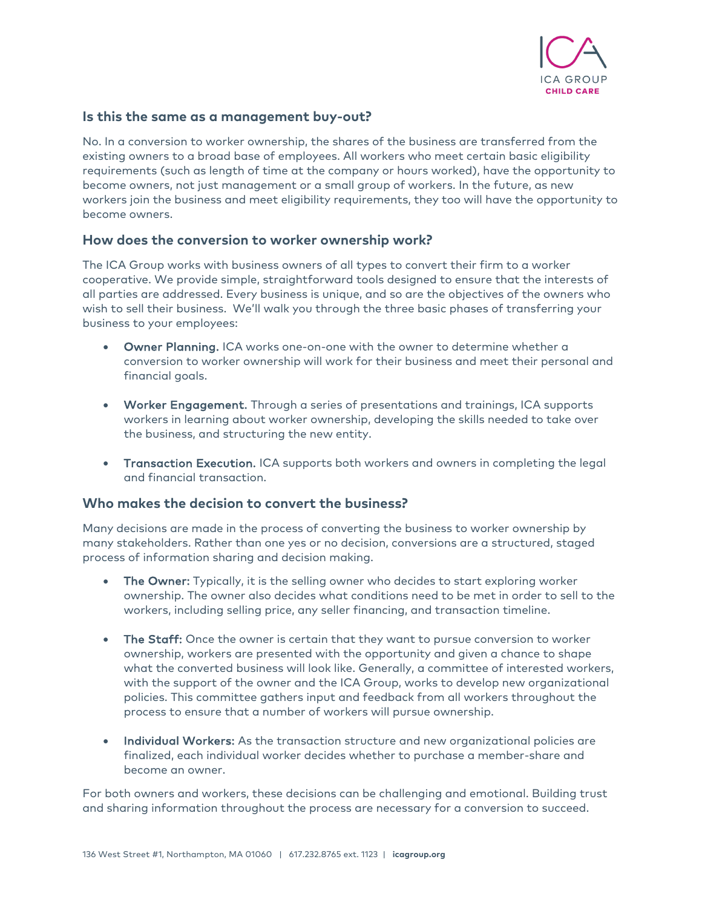

## **Is this the same as a management buy-out?**

No. In a conversion to worker ownership, the shares of the business are transferred from the existing owners to a broad base of employees. All workers who meet certain basic eligibility requirements (such as length of time at the company or hours worked), have the opportunity to become owners, not just management or a small group of workers. In the future, as new workers join the business and meet eligibility requirements, they too will have the opportunity to become owners.

#### **How does the conversion to worker ownership work?**

The ICA Group works with business owners of all types to convert their firm to a worker cooperative. We provide simple, straightforward tools designed to ensure that the interests of all parties are addressed. Every business is unique, and so are the objectives of the owners who wish to sell their business. We'll walk you through the three basic phases of transferring your business to your employees:

- Owner Planning. ICA works one-on-one with the owner to determine whether a conversion to worker ownership will work for their business and meet their personal and financial goals.
- Worker Engagement. Through a series of presentations and trainings, ICA supports workers in learning about worker ownership, developing the skills needed to take over the business, and structuring the new entity.
- Transaction Execution. ICA supports both workers and owners in completing the legal and financial transaction.

#### **Who makes the decision to convert the business?**

Many decisions are made in the process of converting the business to worker ownership by many stakeholders. Rather than one yes or no decision, conversions are a structured, staged process of information sharing and decision making.

- The Owner: Typically, it is the selling owner who decides to start exploring worker ownership. The owner also decides what conditions need to be met in order to sell to the workers, including selling price, any seller financing, and transaction timeline.
- The Staff: Once the owner is certain that they want to pursue conversion to worker ownership, workers are presented with the opportunity and given a chance to shape what the converted business will look like. Generally, a committee of interested workers, with the support of the owner and the ICA Group, works to develop new organizational policies. This committee gathers input and feedback from all workers throughout the process to ensure that a number of workers will pursue ownership.
- Individual Workers: As the transaction structure and new organizational policies are finalized, each individual worker decides whether to purchase a member-share and become an owner.

For both owners and workers, these decisions can be challenging and emotional. Building trust and sharing information throughout the process are necessary for a conversion to succeed.